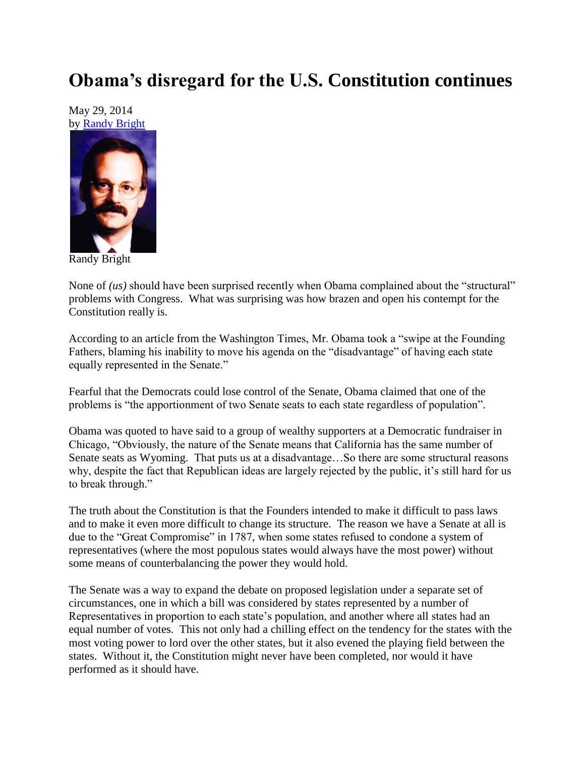## **Obama's disregard for the U.S. Constitution continues**

May 29, 2014 by [Randy Bright](http://tulsabeacon.com/writers/randy-bright/)



Randy Bright

None of *(us)* should have been surprised recently when Obama complained about the "structural" problems with Congress. What was surprising was how brazen and open his contempt for the Constitution really is.

According to an article from the Washington Times, Mr. Obama took a "swipe at the Founding Fathers, blaming his inability to move his agenda on the "disadvantage" of having each state equally represented in the Senate."

Fearful that the Democrats could lose control of the Senate, Obama claimed that one of the problems is "the apportionment of two Senate seats to each state regardless of population".

Obama was quoted to have said to a group of wealthy supporters at a Democratic fundraiser in Chicago, "Obviously, the nature of the Senate means that California has the same number of Senate seats as Wyoming. That puts us at a disadvantage…So there are some structural reasons why, despite the fact that Republican ideas are largely rejected by the public, it's still hard for us to break through."

The truth about the Constitution is that the Founders intended to make it difficult to pass laws and to make it even more difficult to change its structure. The reason we have a Senate at all is due to the "Great Compromise" in 1787, when some states refused to condone a system of representatives (where the most populous states would always have the most power) without some means of counterbalancing the power they would hold.

The Senate was a way to expand the debate on proposed legislation under a separate set of circumstances, one in which a bill was considered by states represented by a number of Representatives in proportion to each state's population, and another where all states had an equal number of votes. This not only had a chilling effect on the tendency for the states with the most voting power to lord over the other states, but it also evened the playing field between the states. Without it, the Constitution might never have been completed, nor would it have performed as it should have.